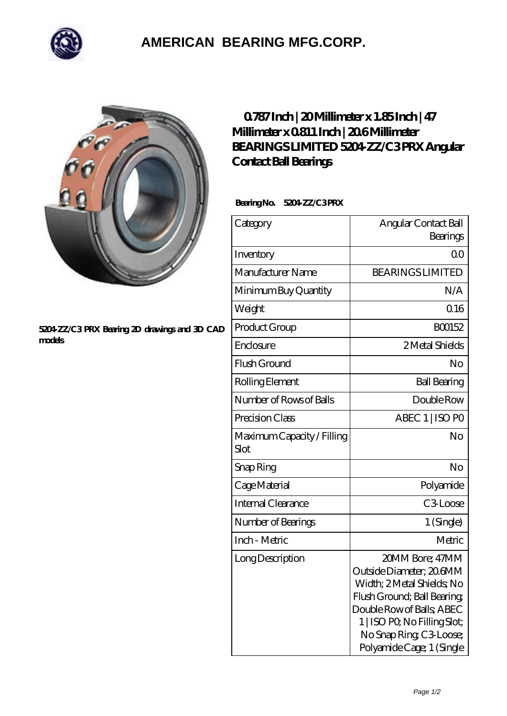

## **[AMERICAN BEARING MFG.CORP.](https://m.geragogik.net)**



## **[5204-ZZ/C3 PRX Bearing 2D drawings and 3D CAD](https://m.geragogik.net/pic-181184.html) [models](https://m.geragogik.net/pic-181184.html)**

## **[0.787 Inch | 20 Millimeter x 1.85 Inch | 47](https://m.geragogik.net/aI-181184-bearings-limited-5204-zz-c3-prx-angular-contact-ball-bearings.html) [Millimeter x 0.811 Inch | 20.6 Millimeter](https://m.geragogik.net/aI-181184-bearings-limited-5204-zz-c3-prx-angular-contact-ball-bearings.html) [BEARINGS LIMITED 5204-ZZ/C3 PRX Angular](https://m.geragogik.net/aI-181184-bearings-limited-5204-zz-c3-prx-angular-contact-ball-bearings.html) [Contact Ball Bearings](https://m.geragogik.net/aI-181184-bearings-limited-5204-zz-c3-prx-angular-contact-ball-bearings.html)**

Bearing No. 5204 ZZ/C3PRX

| Category                           | Angular Contact Ball<br>Bearings                                                                                                                                                                                            |
|------------------------------------|-----------------------------------------------------------------------------------------------------------------------------------------------------------------------------------------------------------------------------|
| Inventory                          | 0 <sup>0</sup>                                                                                                                                                                                                              |
| Manufacturer Name                  | <b>BEARINGS LIMITED</b>                                                                                                                                                                                                     |
| Minimum Buy Quantity               | N/A                                                                                                                                                                                                                         |
| Weight                             | 0.16                                                                                                                                                                                                                        |
| Product Group                      | BO0152                                                                                                                                                                                                                      |
| Enclosure                          | 2 Metal Shields                                                                                                                                                                                                             |
| Flush Ground                       | No                                                                                                                                                                                                                          |
| Rolling Element                    | <b>Ball Bearing</b>                                                                                                                                                                                                         |
| Number of Rows of Balls            | Double Row                                                                                                                                                                                                                  |
| Precision Class                    | ABEC 1   ISO PO                                                                                                                                                                                                             |
| Maximum Capacity / Filling<br>Slot | No                                                                                                                                                                                                                          |
| Snap Ring                          | No                                                                                                                                                                                                                          |
| Cage Material                      | Polyamide                                                                                                                                                                                                                   |
| Internal Clearance                 | C3Loose                                                                                                                                                                                                                     |
| Number of Bearings                 | 1 (Single)                                                                                                                                                                                                                  |
| Inch - Metric                      | Metric                                                                                                                                                                                                                      |
| Long Description                   | 20MM Bore; 47MM<br>Outside Diameter; 206MM<br>Width; 2 Metal Shields, No<br>Flush Ground; Ball Bearing;<br>Double Row of Balls, ABEC<br>1   ISO PO, No Filling Slot;<br>No Snap Ring C3 Loose;<br>Polyamide Cage; 1 (Single |